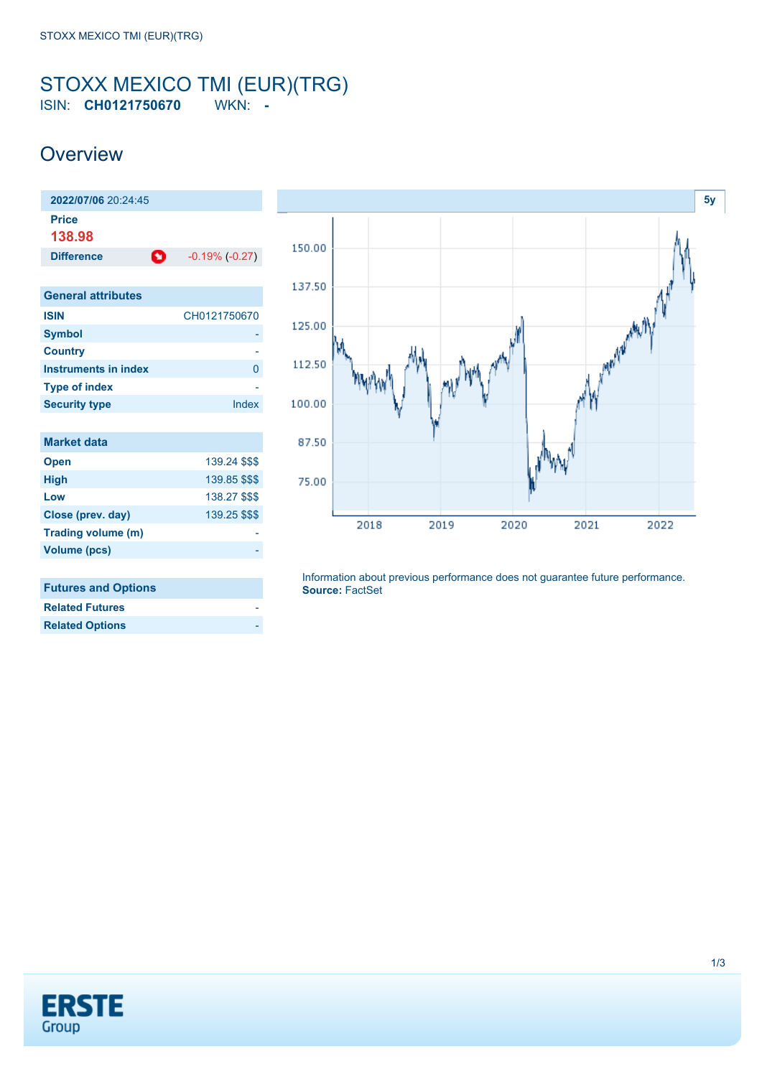#### <span id="page-0-0"></span>STOXX MEXICO TMI (EUR)(TRG) ISIN: **CH0121750670** WKN: **-**

### **Overview**

| 2022/07/06 20:24:45         |                     |
|-----------------------------|---------------------|
| <b>Price</b><br>138.98      |                     |
| Ω<br><b>Difference</b>      | $-0.19\%$ $(-0.27)$ |
|                             |                     |
| <b>General attributes</b>   |                     |
| <b>ISIN</b>                 | CH0121750670        |
| <b>Symbol</b>               |                     |
| <b>Country</b>              |                     |
| <b>Instruments in index</b> | 0                   |
| <b>Type of index</b>        |                     |
| <b>Security type</b>        | Index               |
|                             |                     |
| <b>Market data</b>          |                     |
| <b>Open</b>                 | 139.24 \$\$\$       |
| <b>High</b>                 | 139.85 \$\$\$       |
| Low                         | 138.27 \$\$\$       |
| Close (prev. day)           | 139.25 \$\$\$       |
| Trading volume (m)          |                     |
| <b>Volume (pcs)</b>         |                     |
|                             |                     |
| <b>Futures and Options</b>  |                     |



| <b>Related Futures</b> |  |
|------------------------|--|
| <b>Related Options</b> |  |

Information about previous performance does not guarantee future performance. **Source:** FactSet

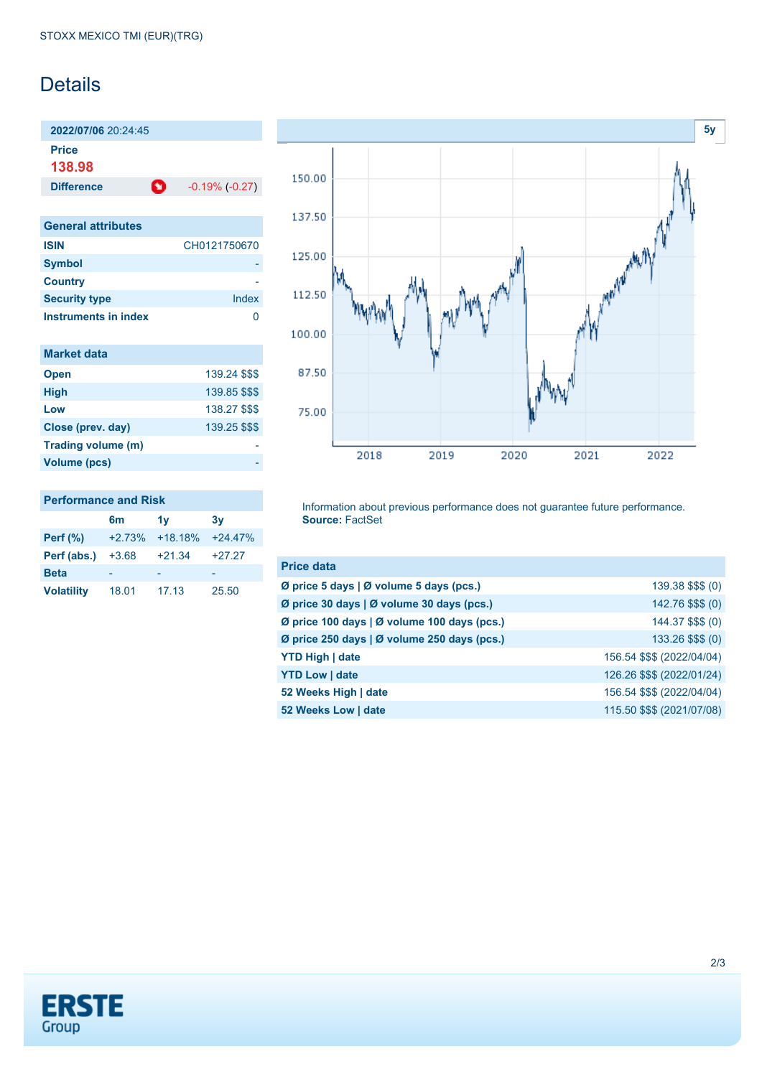## **Details**

**2022/07/06** 20:24:45 **Price**

**138.98**

**Difference 1** -0.19% (-0.27)

| <b>General attributes</b> |              |
|---------------------------|--------------|
| <b>ISIN</b>               | CH0121750670 |
| <b>Symbol</b>             |              |
| <b>Country</b>            |              |
| <b>Security type</b>      | Index        |
| Instruments in index      |              |

| <b>Market data</b> |               |
|--------------------|---------------|
| <b>Open</b>        | 139.24 \$\$\$ |
| <b>High</b>        | 139.85 \$\$\$ |
| Low                | 138.27 \$\$\$ |
| Close (prev. day)  | 139.25 \$\$\$ |
| Trading volume (m) |               |
| Volume (pcs)       |               |



#### **Performance and Risk**

|                   | 6m       | 1v        | 3v        |
|-------------------|----------|-----------|-----------|
| Perf $(\%)$       | $+2.73%$ | $+18.18%$ | $+24.47%$ |
| Perf (abs.)       | $+3.68$  | $+21.34$  | $+27.27$  |
| <b>Beta</b>       |          |           | -         |
| <b>Volatility</b> | 18.01    | 17.13     | 25.50     |

Information about previous performance does not guarantee future performance. **Source:** FactSet

| <b>Price data</b>                           |                            |
|---------------------------------------------|----------------------------|
| Ø price 5 days   Ø volume 5 days (pcs.)     | 139.38 \$\$\$ (0)          |
| Ø price 30 days   Ø volume 30 days (pcs.)   | 142.76 \$\$\$ (0)          |
| Ø price 100 days   Ø volume 100 days (pcs.) | 144.37 \$\$\$ (0)          |
| Ø price 250 days   Ø volume 250 days (pcs.) | 133.26 \$\$\$ (0)          |
| <b>YTD High   date</b>                      | 156.54 \$\$\$ (2022/04/04) |
| <b>YTD Low   date</b>                       | 126.26 \$\$\$ (2022/01/24) |
| 52 Weeks High   date                        | 156.54 \$\$\$ (2022/04/04) |
| 52 Weeks Low   date                         | 115.50 \$\$\$ (2021/07/08) |